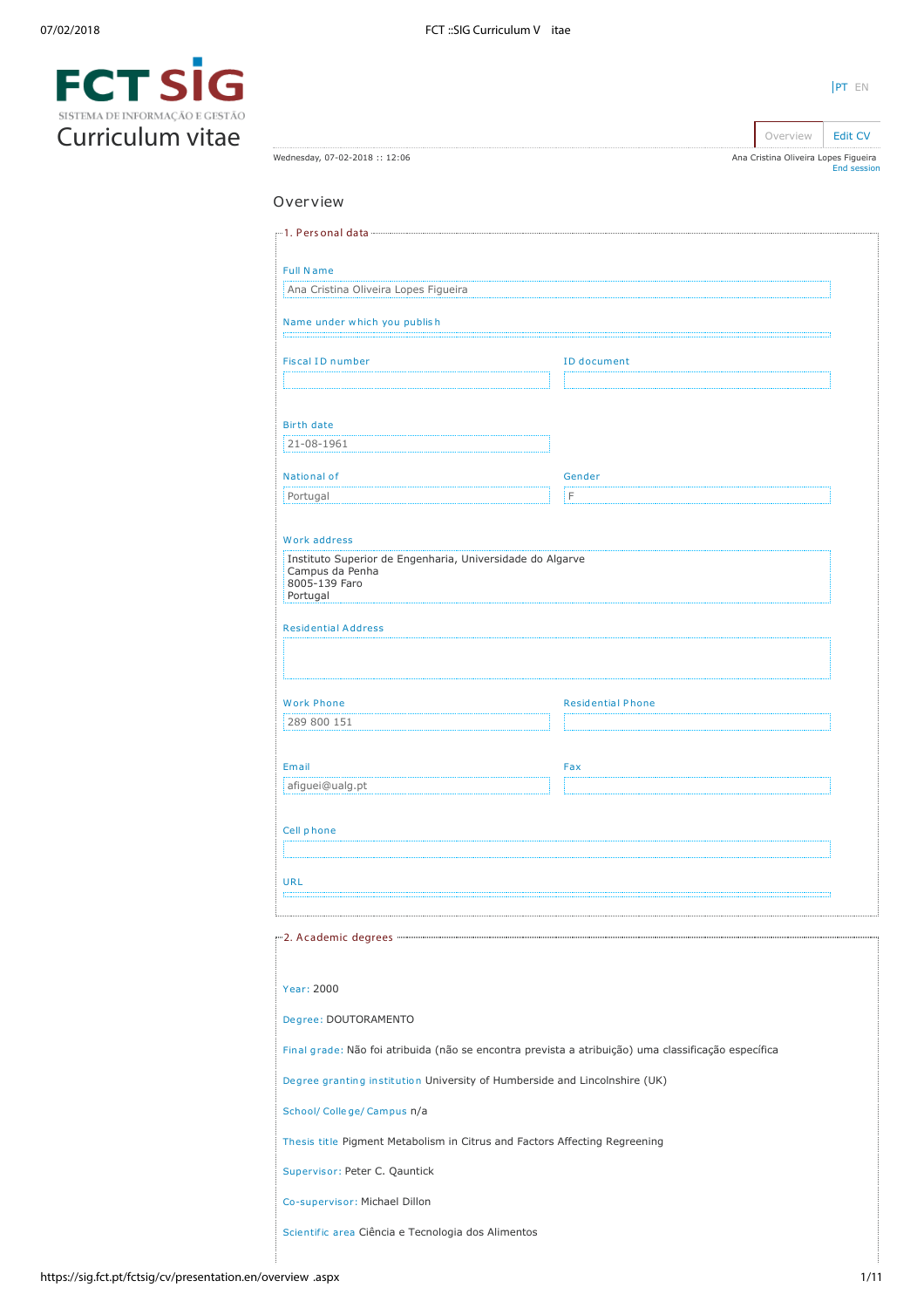

|                                                                                                     |                          | Overview                             | <b>Edit CV</b>     |
|-----------------------------------------------------------------------------------------------------|--------------------------|--------------------------------------|--------------------|
| Wednesday, 07-02-2018 :: 12:06                                                                      |                          | Ana Cristina Oliveira Lopes Figueira | <b>End session</b> |
| Overview                                                                                            |                          |                                      |                    |
| ---1. Personal data --------------------------------                                                |                          |                                      |                    |
| <b>Full Name</b>                                                                                    |                          |                                      |                    |
| Ana Cristina Oliveira Lopes Figueira                                                                |                          |                                      |                    |
| Name under which you publish                                                                        |                          |                                      |                    |
| <b>Fiscal ID number</b>                                                                             | ID document              |                                      |                    |
|                                                                                                     |                          |                                      |                    |
| <b>Birth date</b>                                                                                   |                          |                                      |                    |
| 21-08-1961                                                                                          |                          |                                      |                    |
| National of                                                                                         | Gender                   |                                      |                    |
| Portugal                                                                                            | F                        |                                      |                    |
| Work address                                                                                        |                          |                                      |                    |
| Instituto Superior de Engenharia, Universidade do Algarve<br>Campus da Penha<br>8005-139 Faro       |                          |                                      |                    |
| Portugal                                                                                            |                          |                                      |                    |
| <b>Residential Address</b>                                                                          |                          |                                      |                    |
|                                                                                                     |                          |                                      |                    |
| <b>Work Phone</b>                                                                                   | <b>Residential Phone</b> |                                      |                    |
| 289 800 151                                                                                         |                          |                                      |                    |
|                                                                                                     |                          |                                      |                    |
| Email<br>afiguei@ualg.pt                                                                            | Fax                      |                                      |                    |
|                                                                                                     |                          |                                      |                    |
| Cell phone                                                                                          |                          |                                      |                    |
|                                                                                                     |                          |                                      |                    |
| URL                                                                                                 |                          |                                      |                    |
|                                                                                                     |                          |                                      |                    |
|                                                                                                     |                          |                                      |                    |
| Year: 2000                                                                                          |                          |                                      |                    |
| Degree: DOUTORAMENTO                                                                                |                          |                                      |                    |
| Final grade: Não foi atribuida (não se encontra prevista a atribuição) uma classificação específica |                          |                                      |                    |
| Degree granting institution University of Humberside and Lincolnshire (UK)                          |                          |                                      |                    |

School/ Colle ge/ Campus n/a

Thesis title Pigment Metabolism in Citrus and Factors Affecting Regreening

Supervisor: Peter C. Qauntick

Co-supervisor: Michael Dillon

Scientific area Ciência e Tecnologia dos Alimentos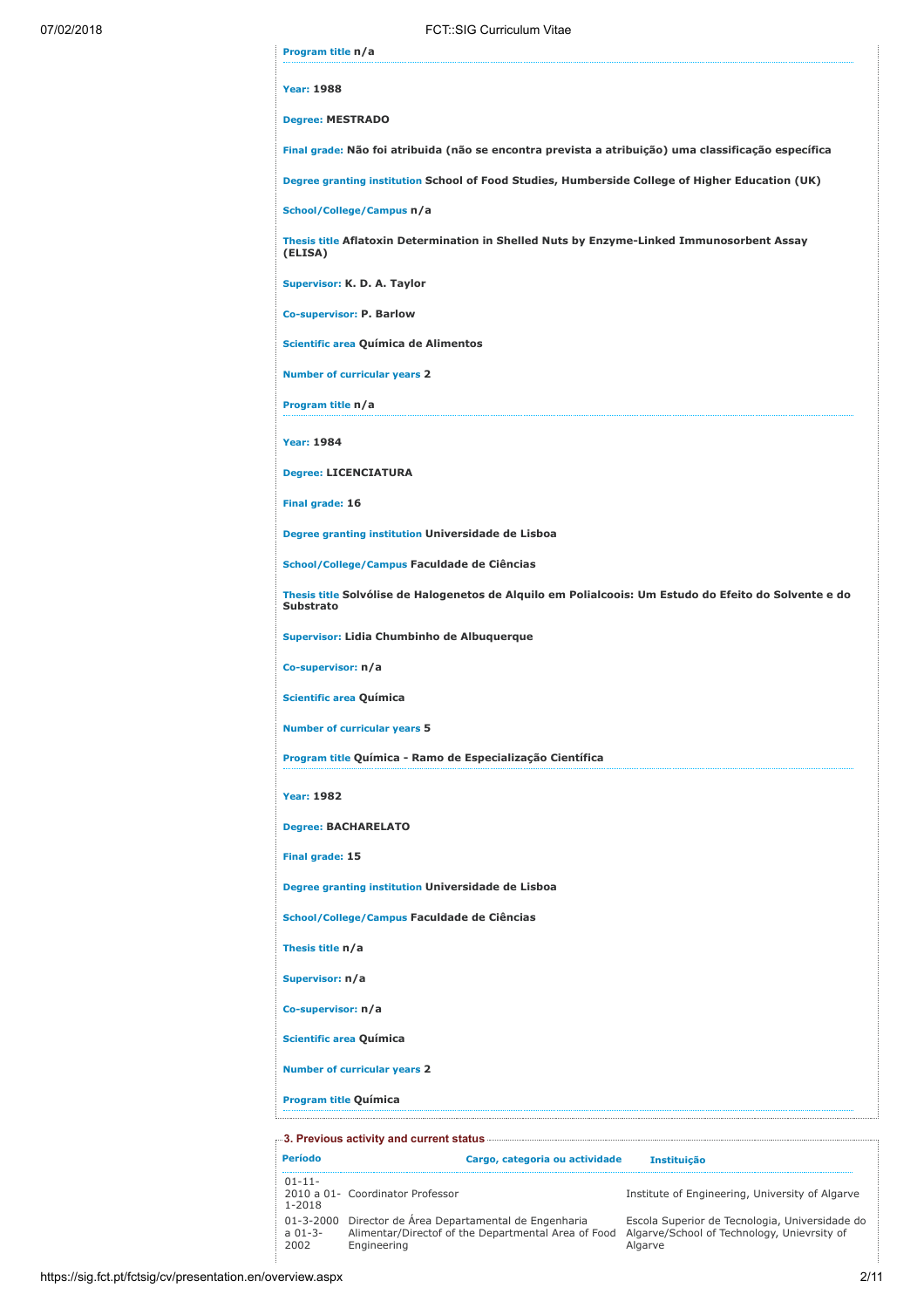| Program title n/a                                      |                                                                                                       |
|--------------------------------------------------------|-------------------------------------------------------------------------------------------------------|
| <b>Year: 1988</b>                                      |                                                                                                       |
|                                                        | <b>Degree: MESTRADO</b>                                                                               |
|                                                        | Final grade: Não foi atribuida (não se encontra prevista a atribuição) uma classificação específica   |
|                                                        | Degree granting institution School of Food Studies, Humberside College of Higher Education (UK)       |
|                                                        | School/College/Campus n/a                                                                             |
| (ELISA)                                                | Thesis title Aflatoxin Determination in Shelled Nuts by Enzyme-Linked Immunosorbent Assay             |
|                                                        | Supervisor: K. D. A. Taylor                                                                           |
|                                                        | <b>Co-supervisor: P. Barlow</b>                                                                       |
|                                                        | Scientific area Química de Alimentos                                                                  |
|                                                        | <b>Number of curricular years 2</b>                                                                   |
| Program title n/a                                      |                                                                                                       |
| <b>Year: 1984</b>                                      |                                                                                                       |
|                                                        | <b>Degree: LICENCIATURA</b>                                                                           |
| Final grade: 16                                        |                                                                                                       |
|                                                        | Degree granting institution Universidade de Lisboa                                                    |
|                                                        | School/College/Campus Faculdade de Ciências                                                           |
| <b>Substrato</b>                                       | Thesis title Solvólise de Halogenetos de Alquilo em Polialcoois: Um Estudo do Efeito do Solvente e do |
|                                                        | Supervisor: Lidia Chumbinho de Albuquerque                                                            |
|                                                        | Co-supervisor: n/a                                                                                    |
|                                                        | Scientific area Química                                                                               |
|                                                        | <b>Number of curricular years 5</b>                                                                   |
|                                                        | Program title Química - Ramo de Especialização Científica                                             |
| <b>Year: 1982</b>                                      |                                                                                                       |
|                                                        |                                                                                                       |
|                                                        | <b>Degree: BACHARELATO</b>                                                                            |
|                                                        |                                                                                                       |
|                                                        | Degree granting institution Universidade de Lisboa                                                    |
|                                                        | School/College/Campus Faculdade de Ciências                                                           |
|                                                        |                                                                                                       |
| Final grade: 15<br>Thesis title n/a<br>Supervisor: n/a |                                                                                                       |
|                                                        | Co-supervisor: n/a                                                                                    |
|                                                        | Scientific area Química                                                                               |
|                                                        | <b>Number of curricular years 2</b>                                                                   |

| Período                              | Cargo, categoria ou actividade                                                                                     | <b>Instituicão</b>                                                                                       |
|--------------------------------------|--------------------------------------------------------------------------------------------------------------------|----------------------------------------------------------------------------------------------------------|
| $01 - 11 -$<br>$1 - 2018$            | 2010 a 01- Coordinator Professor                                                                                   | Institute of Engineering, University of Algarve                                                          |
| $01 - 3 - 2000$<br>$a 01-3-$<br>2002 | Director de Área Departamental de Engenharia<br>Alimentar/Directof of the Departmental Area of Food<br>Engineering | Escola Superior de Tecnologia, Universidade do<br>Algarve/School of Technology, Unievrsity of<br>Algarve |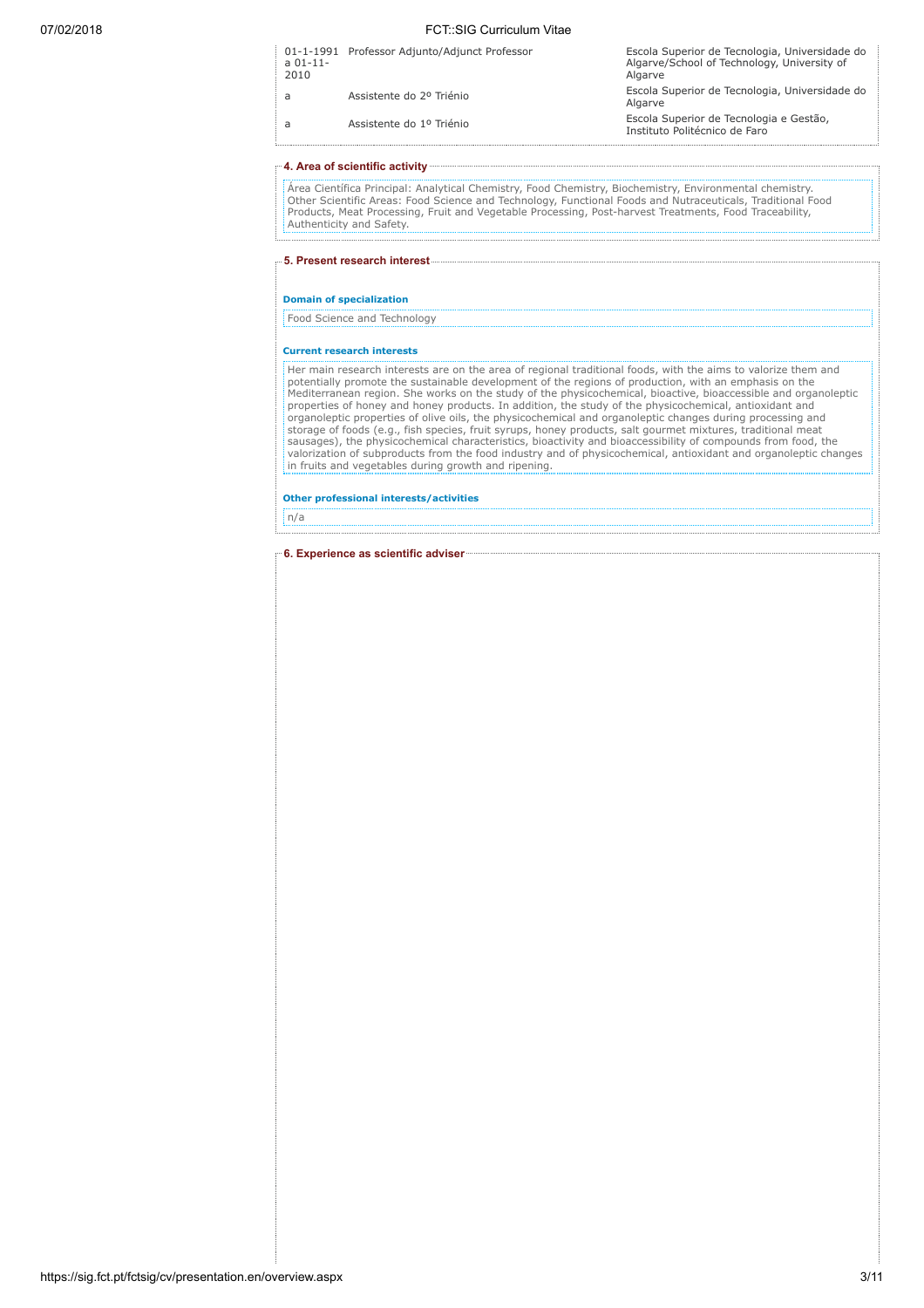| $a$ 01-11-<br>2010 | 01-1-1991 Professor Adjunto/Adjunct Professor | Escola Superior de Tecnologia, Universidade do<br>Algarve/School of Technology, University of<br>Algarve |
|--------------------|-----------------------------------------------|----------------------------------------------------------------------------------------------------------|
| a                  | Assistente do 2º Triénio                      | Escola Superior de Tecnologia, Universidade do<br>Algarve                                                |
| a                  | Assistente do 1º Triénio                      | Escola Superior de Tecnologia e Gestão,<br>Instituto Politécnico de Faro                                 |

# 4. Area of scientific activity

Área Científica Principal: Analytical Chemistry, Food Chemistry, Biochemistry, Environmental chemistry. Other Scientific Areas: Food Science and Technology, Functional Foods and Nutraceuticals, Traditional Food Products, Meat Processing, Fruit and Vegetable Processing, Post-harvest Treatments, Food Traceability, Authenticity and Safety.

5. Present research interest

# Domain of specialization

Food Science and Technology

#### Current research interests

Her main research interests are on the area of regional traditional foods, with the aims to valorize them and potentially promote the sustainable development of the regions of production, with an emphasis on the Mediterranean region. She works on the study of the physicochemical, bioactive, bioaccessible and organoleptic properties of honey and honey products. In addition, the study of the physicochemical, antioxidant and organoleptic properties of olive oils, the physicochemical and organoleptic changes during processing and<br>storage of foods (e.g., fish species, fruit syrups, honey products, salt gourmet mixtures, traditional meat<br>sausages valorization of subproducts from the food industry and of physicochemical, antioxidant and organoleptic changes in fruits and vegetables during growth and ripening.

Other professional interests/activities

n/a

6. Experience as scientific adviser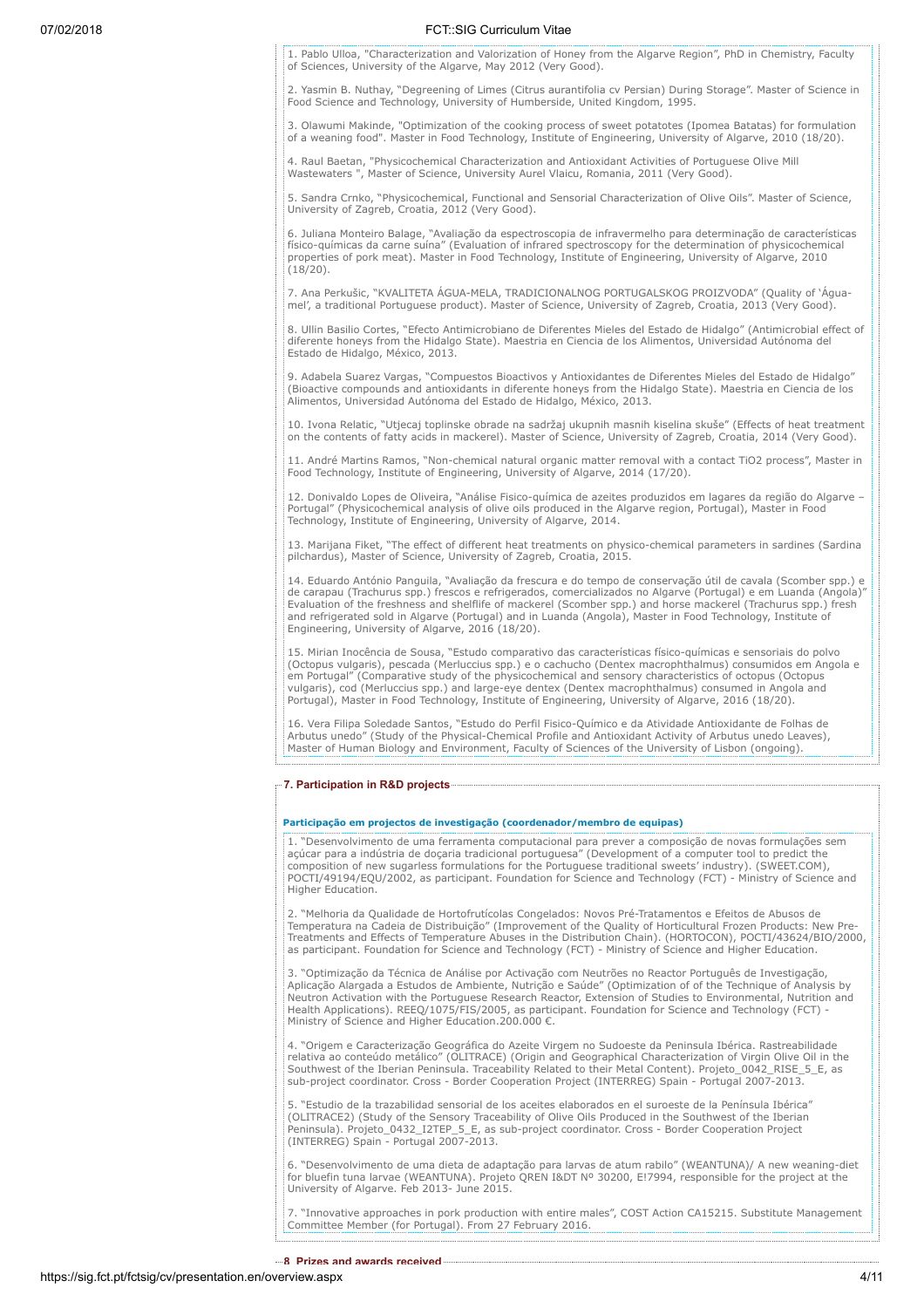1. Pablo Ulloa, "Characterization and Valorization of Honey from the Algarve Region", PhD in Chemistry, Faculty of Sciences, University of the Algarve, May 2012 (Very Good).

2. Yasmin B. Nuthay, "Degreening of Limes (Citrus aurantifolia cv Persian) During Storage". Master of Science in Food Science and Technology, University of Humberside, United Kingdom, 1995.

3. Olawumi Makinde, "Optimization of the cooking process of sweet potatotes (Ipomea Batatas) for formulation of a weaning food". Master in Food Technology, Institute of Engineering, University of Algarve, 2010 (18/20).

4. Raul Baetan, "Physicochemical Characterization and Antioxidant Activities of Portuguese Olive Mill Wastewaters ", Master of Science, University Aurel Vlaicu, Romania, 2011 (Very Good).

5. Sandra Crnko, "Physicochemical, Functional and Sensorial Characterization of Olive Oils". Master of Science, University of Zagreb, Croatia, 2012 (Very Good).

6. Juliana Monteiro Balage, "Avaliação da espectroscopia de infravermelho para determinação de características<br>físico-químicas da carne suína" (Evaluation of infrared spectroscopy for the determination of physicochemical<br>p (18/20).

7. Ana Perkušic, "KVALITETA ÁGUA-MELA, TRADICIONALNOG PORTUGALSKOG PROIZVODA" (Quality of 'Águamel', a traditional Portuguese product). Master of Science, University of Zagreb, Croatia, 2013 (Very Good).

8. Ullin Basilio Cortes, "Efecto Antimicrobiano de Diferentes Mieles del Estado de Hidalgo" (Antimicrobial effect of diferente honeys from the Hidalgo State). Maestria en Ciencia de los Alimentos, Universidad Autónoma del Estado de Hidalgo, México, 2013.

9. Adabela Suarez Vargas, "Compuestos Bioactivos y Antioxidantes de Diferentes Mieles del Estado de Hidalgo" (Bioactive compounds and antioxidants in diferente honeys from the Hidalgo State). Maestria en Ciencia de los Alimentos, Universidad Autónoma del Estado de Hidalgo, México, 2013.

10. Ivona Relatic, "Utjecaj toplinske obrade na sadržaj ukupnih masnih kiselina skuše" (Effects of heat treatment<br>on the contents of fatty acids in mackerel). Master of Science, University of Zagreb, Croatia, 2014 (Very Go

11. André Martins Ramos, "Non-chemical natural organic matter removal with a contact TiO2 process", Master in Food Technology, Institute of Engineering, University of Algarve, 2014 (17/20).

12. Donivaldo Lopes de Oliveira, "Análise Fisico-química de azeites produzidos em lagares da região do Algarve – Portugal" (Physicochemical analysis of olive oils produced in the Algarve region, Portugal), Master in Food Technology, Institute of Engineering, University of Algarve, 2014.

13. Marijana Fiket, "The effect of different heat treatments on physico-chemical parameters in sardines (Sardina pilchardus), Master of Science, University of Zagreb, Croatia, 2015.

14. Eduardo António Panguila, "Avaliação da frescura e do tempo de conservação útil de cavala (Scomber spp.) e de carapau (Trachurus spp.) frescos e refrigerados, comercializados no Algarve (Portugal) e em Luanda (Angola)" Evaluation of the freshness and shelflife of mackerel (Scomber spp.) and horse mackerel (Trachurus spp.) fresh and refrigerated sold in Algarve (Portugal) and in Luanda (Angola), Master in Food Technology, Institute of Engineering, University of Algarve, 2016 (18/20).

15. Mirian Inocência de Sousa, "Estudo comparativo das características físico-químicas e sensoriais do polvo (Octopus vulgaris), pescada (Merluccius spp.) e o cachucho (Dentex macrophthalmus) consumidos em Angola e em Portugal" (Comparative study of the physicochemical and sensory characteristics of octopus (Octopus vulgaris), cod (Merluccius spp.) and large-eye dentex (Dentex macrophthalmus) consumed in Angola and Portugal), Master in Food Technology, Institute of Engineering, University of Algarve, 2016 (18/20).

16. Vera Filipa Soledade Santos, "Estudo do Perfil Fisico-Químico e da Atividade Antioxidante de Folhas de Arbutus unedo" (Study of the Physical-Chemical Profile and Antioxidant Activity of Arbutus unedo Leaves), Master of Human Biology and Environment, Faculty of Sciences of the University of Lisbon (ongoing).

#### 7. Participation in R&D projects

# Participação em projectos de investigação (coordenador/membro de equipas)

1. "Desenvolvimento de uma ferramenta computacional para prever a composição de novas formulações sem açúcar para a indústria de doçaria tradicional portuguesa" (Development of a computer tool to predict the composition of new sugarless formulations for the Portuguese traditional sweets' industry). (SWEET.COM), POCTI/49194/EQU/2002, as participant. Foundation for Science and Technology (FCT) - Ministry of Science and Higher Education.

2. "Melhoria da Qualidade de Hortofrutícolas Congelados: Novos Pré-Tratamentos e Efeitos de Abusos de<br>Temperatura na Cadeia de Distribuição" (Improvement of the Quality of Horticultural Frozen Products: New Pre-<br>Treatments as participant. Foundation for Science and Technology (FCT) - Ministry of Science and Higher Education.

3. "Optimização da Técnica de Análise por Activação com Neutrões no Reactor Português de Investigação, Aplicação Alargada a Estudos de Ambiente, Nutrição e Saúde" (Optimization of of the Technique of Analysis by Neutron Activation with the Portuguese Research Reactor, Extension of Studies to Environmental, Nutrition and Health Applications). REEQ/1075/FIS/2005, as participant. Foundation for Science and Technology (FCT) - Ministry of Science and Higher Education.200.000 €.

4. "Origem e Caracterização Geográfica do Azeite Virgem no Sudoeste da Peninsula Ibérica. Rastreabilidade relativa ao conteúdo metálico" (OLITRACE) (Origin and Geographical Characterization of Virgin Olive Oil in the Southwest of the Iberian Peninsula. Traceability Related to their Metal Content). Projeto\_0042\_RISE\_5\_E, as sub-project coordinator. Cross - Border Cooperation Project (INTERREG) Spain - Portugal 2007-2013.

5. "Estudio de la trazabilidad sensorial de los aceites elaborados en el suroeste de la Península Ibérica" (OLITRACE2) (Study of the Sensory Traceability of Olive Oils Produced in the Southwest of the Iberian Peninsula). Projeto\_0432\_I2TEP\_5\_E, as sub-project coordinator. Cross - Border Cooperation Project (INTERREG) Spain - Portugal 2007-2013.

6. "Desenvolvimento de uma dieta de adaptação para larvas de atum rabilo" (WEANTUNA)/ A new weaning-diet for bluefin tuna larvae (WEANTUNA). Projeto QREN I&DT Nº 30200, E!7994, responsible for the project at the University of Algarve. Feb 2013- June 2015.

7. "Innovative approaches in pork production with entire males", COST Action CA15215. Substitute Management Committee Member (for Portugal). From 27 February 2016.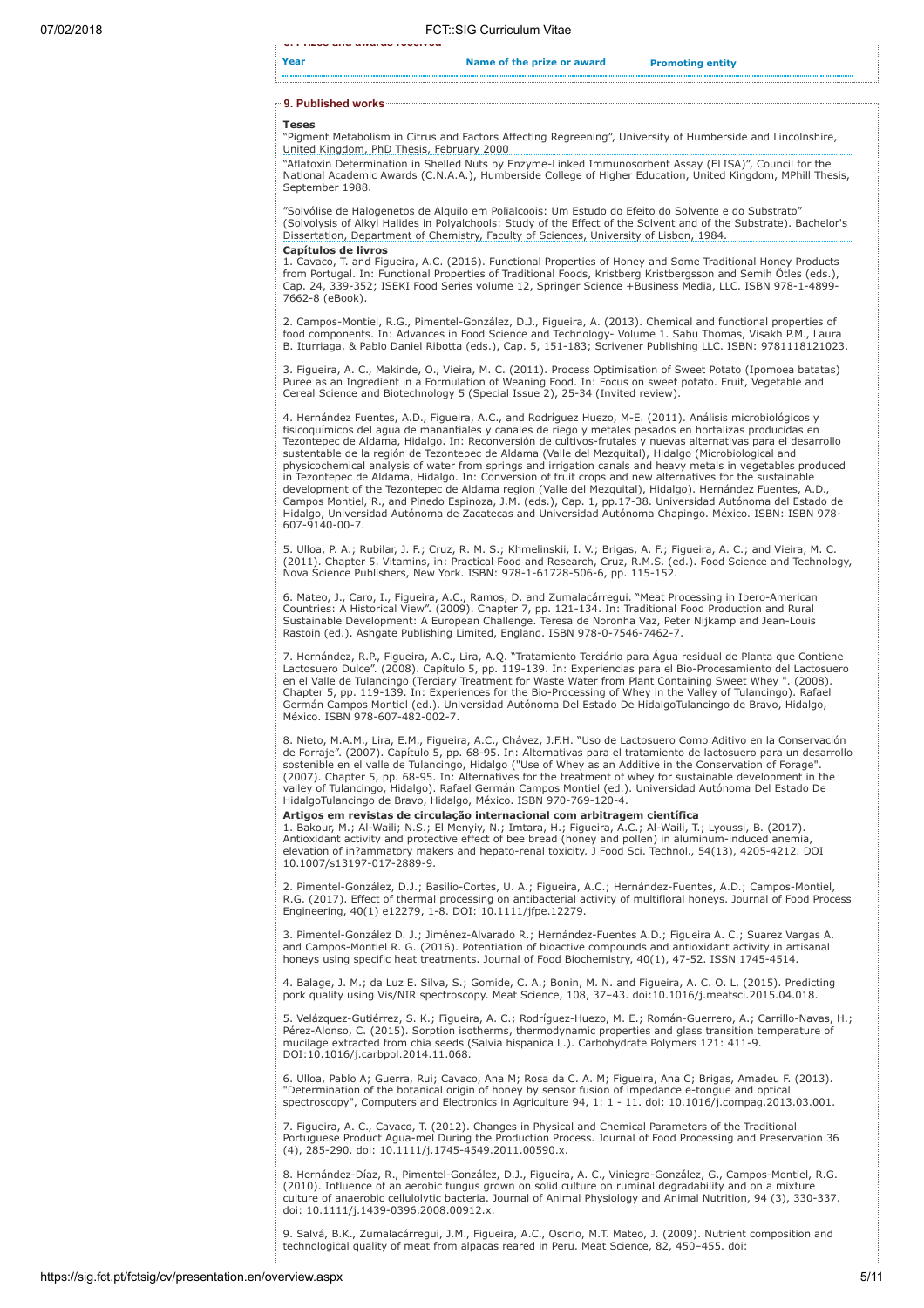Year **Name of the prize or award** Promoting entity

# 9. Published works

8. Prizes and awards received

#### Teses

"Pigment Metabolism in Citrus and Factors Affecting Regreening", University of Humberside and Lincolnshire, United Kingdom, PhD Thesis, February 2000

"Aflatoxin Determination in Shelled Nuts by Enzyme-Linked Immunosorbent Assay (ELISA)", Council for the National Academic Awards (C.N.A.A.), Humberside College of Higher Education, United Kingdom, MPhill Thesis, September 1988.

"Solvólise de Halogenetos de Alquilo em Polialcoois: Um Estudo do Efeito do Solvente e do Substrato" (Solvolysis of Alkyl Halides in Polyalchools: Study of the Effect of the Solvent and of the Substrate). Bachelor's Dissertation, Department of Chemistry, Faculty of Sciences, University of Lisbon, 1984. Capítulos de livros

1. Cavaco, T. and Figueira, A.C. (2016). Functional Properties of Honey and Some Traditional Honey Products from Portugal. In: Functional Properties of Traditional Foods, Kristberg Kristbergsson and Semih Ötles (eds.), Cap. 24, 339-352; ISEKI Food Series volume 12, Springer Science +Business Media, LLC. ISBN 978-1-4899- 7662-8 (eBook).

2. Campos-Montiel, R.G., Pimentel-González, D.J., Figueira, A. (2013). Chemical and functional properties of food components. In: Advances in Food Science and Technology- Volume 1. Sabu Thomas, Visakh P.M., Laura B. Iturriaga, & Pablo Daniel Ribotta (eds.), Cap. 5, 151-183; Scrivener Publishing LLC. ISBN: 9781118121023.

3. Figueira, A. C., Makinde, O., Vieira, M. C. (2011). Process Optimisation of Sweet Potato (Ipomoea batatas)<br>Puree as an Ingredient in a Formulation of Weaning Food. In: Focus on sweet potato. Fruit, Vegetable and<br>Cereal

4. Hernández Fuentes, A.D., Figueira, A.C., and Rodríguez Huezo, M-E. (2011). Análisis microbiológicos y fisicoquímicos del agua de manantiales y canales de riego y metales pesados en hortalizas producidas en Tezontepec de Aldama, Hidalgo. In: Reconversión de cultivos-frutales y nuevas alternativas para el desarrollo sustentable de la región de Tezontepec de Aldama (Valle del Mezquital), Hidalgo (Microbiological and physicochemical analysis of water from springs and irrigation canals and heavy metals in vegetables produced in Tezontepec de Aldama, Hidalgo. In: Conversion of fruit crops and new alternatives for the sustainable development of the Tezontepec de Aldama region (Valle del Mezquital), Hidalgo). Hernández Fuentes, A.D., Campos Montiel, R., and Pinedo Espinoza, J.M. (eds.), Cap. 1, pp.17-38. Universidad Autónoma del Estado de Hidalgo, Universidad Autónoma de Zacatecas and Universidad Autónoma Chapingo. México. ISBN: ISBN 978- 607-9140-00-7.

5. Ulloa, P. A.; Rubilar, J. F.; Cruz, R. M. S.; Khmelinskii, I. V.; Brigas, A. F.; Figueira, A. C.; and Vieira, M. C. (2011). Chapter 5. Vitamins, in: Practical Food and Research, Cruz, R.M.S. (ed.). Food Science and Technology, Nova Science Publishers, New York. ISBN: 978-1-61728-506-6, pp. 115-152.

6. Mateo, J., Caro, I., Figueira, A.C., Ramos, D. and Zumalacárregui. "Meat Processing in Ibero-American Countries: A Historical View". (2009). Chapter 7, pp. 121-134. In: Traditional Food Production and Rural Sustainable Development: A European Challenge. Teresa de Noronha Vaz, Peter Nijkamp and Jean-Louis Rastoin (ed.). Ashgate Publishing Limited, England. ISBN 978-0-7546-7462-7.

7. Hernández, R.P., Figueira, A.C., Lira, A.Q. "Tratamiento Terciário para Água residual de Planta que Contiene Lactosuero Dulce". (2008). Capítulo 5, pp. 119-139. In: Experiencias para el Bio-Procesamiento del Lactosuero<br>en el Valle de Tulancingo (Terciary Treatment for Waste Water from Plant Containing Sweet Whey ". (2008).<br>Chapte Germán Campos Montiel (ed.). Universidad Autónoma Del Estado De HidalgoTulancingo de Bravo, Hidalgo, México. ISBN 978-607-482-002-7.

8. Nieto, M.A.M., Lira, E.M., Figueira, A.C., Chávez, J.F.H. "Uso de Lactosuero Como Aditivo en la Conservación de Forraje". (2007). Capítulo 5, pp. 68-95. In: Alternativas para el tratamiento de lactosuero para un desarrollo<br>sostenible en el valle de Tulancingo, Hidalgo ("Use of Whey as an Additive in the Conservation of Forage".<br>( valley of Tulancingo, Hidalgo). Rafael Germán Campos Montiel (ed.). Universidad Autónoma Del Estado De HidalgoTulancingo de Bravo, Hidalgo, México. ISBN 970-769-120-4.

Artigos em revistas de circulação internacional com arbitragem científica

1. Bakour, M.; Al-Waili; N.S.; El Menyiy, N.; Imtara, H.; Figueira, A.C.; Al-Waili, T.; Lyoussi, B. (2017).<br>Antioxidant activity and protective effect of bee bread (honey and pollen) in aluminum-induced anemia,<br>elevation o 10.1007/s13197-017-2889-9.

2. Pimentel-González, D.J.; Basilio-Cortes, U. A.; Figueira, A.C.; Hernández-Fuentes, A.D.; Campos-Montiel,<br>R.G. (2017). Effect of thermal processing on antibacterial activity of multifloral honeys. Journal of Food Process

3. Pimentel-González D. J.; Jiménez-Alvarado R.; Hernández-Fuentes A.D.; Figueira A. C.; Suarez Vargas A. and Campos-Montiel R. G. (2016). Potentiation of bioactive compounds and antioxidant activity in artisanal honeys using specific heat treatments. Journal of Food Biochemistry, 40(1), 47-52. ISSN 1745-4514.

4. Balage, J. M.; da Luz E. Silva, S.; Gomide, C. A.; Bonin, M. N. and Figueira, A. C. O. L. (2015). Predicting pork quality using Vis/NIR spectroscopy. Meat Science, 108, 37–43. doi:10.1016/j.meatsci.2015.04.018.

5. Velázquez-Gutiérrez, S. K.; Figueira, A. C.; Rodríguez-Huezo, M. E.; Román-Guerrero, A.; Carrillo-Navas, H.;<br>Pérez-Alonso, C. (2015). Sorption isotherms, thermodynamic properties and glass transition temperature of<br>muci DOI:10.1016/j.carbpol.2014.11.068.

6. Ulloa, Pablo A; Guerra, Rui; Cavaco, Ana M; Rosa da C. A. M; Figueira, Ana C; Brigas, Amadeu F. (2013). "Determination of the botanical origin of honey by sensor fusion of impedance e-tongue and optical spectroscopy", Computers and Electronics in Agriculture 94, 1: 1 - 11. doi: 10.1016/j.compag.2013.03.001.

7. Figueira, A. C., Cavaco, T. (2012). Changes in Physical and Chemical Parameters of the Traditional Portuguese Product Agua-mel During the Production Process. Journal of Food Processing and Preservation 36 (4), 285-290. doi: 10.1111/j.1745-4549.2011.00590.x.

8. Hernández-Díaz, R., Pimentel-González, D.J., Figueira, A. C., Viniegra-González, G., Campos-Montiel, R.G. (2010). Influence of an aerobic fungus grown on solid culture on ruminal degradability and on a mixture culture of anaerobic cellulolytic bacteria. Journal of Animal Physiology and Animal Nutrition, 94 (3), 330-337. doi: 10.1111/j.1439-0396.2008.00912.x.

9. Salvá, B.K., Zumalacárregui, J.M., Figueira, A.C., Osorio, M.T. Mateo, J. (2009). Nutrient composition and technological quality of meat from alpacas reared in Peru. Meat Science, 82, 450–455. doi: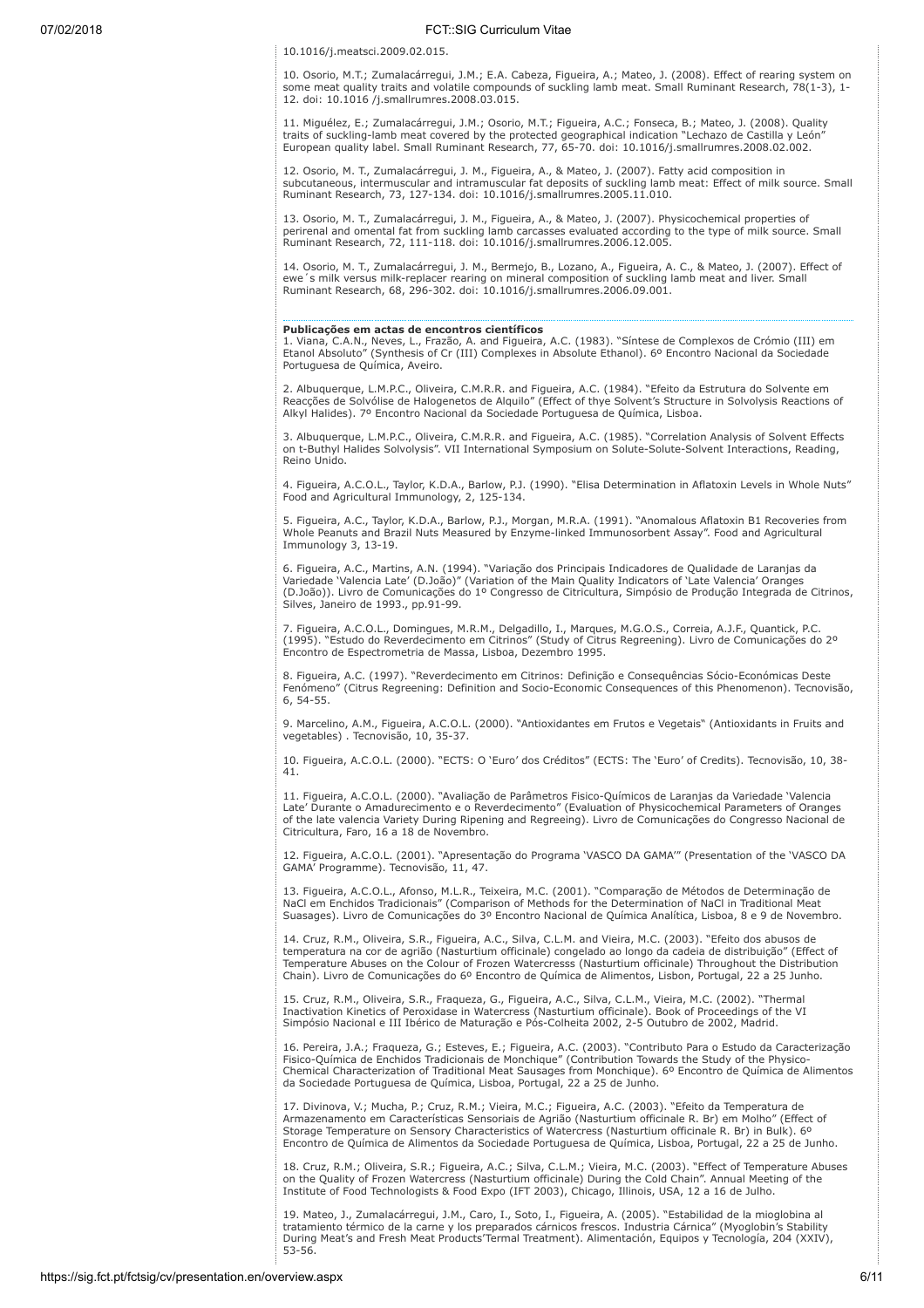10.1016/j.meatsci.2009.02.015.

10. Osorio, M.T.; Zumalacárregui, J.M.; E.A. Cabeza, Figueira, A.; Mateo, J. (2008). Effect of rearing system on some meat quality traits and volatile compounds of suckling lamb meat. Small Ruminant Research, 78(1-3), 1- 12. doi: 10.1016 /j.smallrumres.2008.03.015.

11. Miguélez, E.; Zumalacárregui, J.M.; Osorio, M.T.; Figueira, A.C.; Fonseca, B.; Mateo, J. (2008). Quality traits of suckling-lamb meat covered by the protected geographical indication "Lechazo de Castilla y León" European quality label. Small Ruminant Research, 77, 65-70. doi: 10.1016/j.smallrumres.2008.02.002.

12. Osorio, M. T., Zumalacárregui, J. M., Figueira, A., & Mateo, J. (2007). Fatty acid composition in subcutaneous, intermuscular and intramuscular fat deposits of suckling lamb meat: Effect of milk source. Small Ruminant Research, 73, 127-134. doi: 10.1016/j.smallrumres.2005.11.010.

13. Osorio, M. T., Zumalacárregui, J. M., Figueira, A., & Mateo, J. (2007). Physicochemical properties of perirenal and omental fat from suckling lamb carcasses evaluated according to the type of milk source. Small Ruminant Research, 72, 111-118. doi: 10.1016/j.smallrumres.2006.12.005.

14. Osorio, M. T., Zumalacárregui, J. M., Bermejo, B., Lozano, A., Figueira, A. C., & Mateo, J. (2007). Effect of ewe's milk versus milk-replacer rearing on mineral composition of suckling lamb meat and liver. Small Ruminant Research, 68, 296-302. doi: 10.1016/j.smallrumres.2006.09.001.

# Publicações em actas de encontros científicos

1. Viana, C.A.N., Neves, L., Frazão, A. and Figueira, A.C. (1983). "Síntese de Complexos de Crómio (III) em Etanol Absoluto" (Synthesis of Cr (III) Complexes in Absolute Ethanol). 6º Encontro Nacional da Sociedade Portuguesa de Química, Aveiro.

2. Albuquerque, L.M.P.C., Oliveira, C.M.R.R. and Figueira, A.C. (1984). "Efeito da Estrutura do Solvente em Reacções de Solvólise de Halogenetos de Alquilo" (Effect of thye Solvent's Structure in Solvolysis Reactions of Alkyl Halides). 7º Encontro Nacional da Sociedade Portuguesa de Química, Lisboa.

3. Albuquerque, L.M.P.C., Oliveira, C.M.R.R. and Figueira, A.C. (1985). "Correlation Analysis of Solvent Effects on t-Buthyl Halides Solvolysis". VII International Symposium on Solute-Solute-Solvent Interactions, Reading, Reino Unido.

4. Figueira, A.C.O.L., Taylor, K.D.A., Barlow, P.J. (1990). "Elisa Determination in Aflatoxin Levels in Whole Nuts" Food and Agricultural Immunology, 2, 125-134.

5. Figueira, A.C., Taylor, K.D.A., Barlow, P.J., Morgan, M.R.A. (1991). "Anomalous Aflatoxin B1 Recoveries from Whole Peanuts and Brazil Nuts Measured by Enzyme-linked Immunosorbent Assay". Food and Agricultural Immunology 3, 13-19.

6. Figueira, A.C., Martins, A.N. (1994). "Variação dos Principais Indicadores de Qualidade de Laranjas da Variedade 'Valencia Late' (D.João)" (Variation of the Main Quality Indicators of 'Late Valencia' Oranges (D.João)). Livro de Comunicações do 1º Congresso de Citricultura, Simpósio de Produção Integrada de Citrinos, Silves, Janeiro de 1993., pp.91-99.

7. Figueira, A.C.O.L., Domingues, M.R.M., Delgadillo, I., Marques, M.G.O.S., Correia, A.J.F., Quantick, P.C. (1995). "Estudo do Reverdecimento em Citrinos" (Study of Citrus Regreening). Livro de Comunicações do 2º Encontro de Espectrometria de Massa, Lisboa, Dezembro 1995.

8. Figueira, A.C. (1997). "Reverdecimento em Citrinos: Definição e Consequências Sócio-Económicas Deste Fenómeno" (Citrus Regreening: Definition and Socio-Economic Consequences of this Phenomenon). Tecnovisão, 6, 54-55.

9. Marcelino, A.M., Figueira, A.C.O.L. (2000). "Antioxidantes em Frutos e Vegetais" (Antioxidants in Fruits and vegetables) . Tecnovisão, 10, 35-37.

10. Figueira, A.C.O.L. (2000). "ECTS: O 'Euro' dos Créditos" (ECTS: The 'Euro' of Credits). Tecnovisão, 10, 38- 41.

11. Figueira, A.C.O.L. (2000). "Avaliação de Parâmetros Fisico-Químicos de Laranjas da Variedade 'Valencia Late' Durante o Amadurecimento e o Reverdecimento" (Evaluation of Physicochemical Parameters of Oranges of the late valencia Variety During Ripening and Regreeing). Livro de Comunicações do Congresso Nacional de Citricultura, Faro, 16 a 18 de Novembro.

12. Figueira, A.C.O.L. (2001). "Apresentação do Programa 'VASCO DA GAMA'" (Presentation of the 'VASCO DA GAMA' Programme). Tecnovisão, 11, 47.

13. Figueira, A.C.O.L., Afonso, M.L.R., Teixeira, M.C. (2001). "Comparação de Métodos de Determinação de NaCl em Enchidos Tradicionais" (Comparison of Methods for the Determination of NaCl in Traditional Meat Suasages). Livro de Comunicações do 3º Encontro Nacional de Química Analítica, Lisboa, 8 e 9 de Novembro.

14. Cruz, R.M., Oliveira, S.R., Figueira, A.C., Silva, C.L.M. and Vieira, M.C. (2003). "Efeito dos abusos de temperatura na cor de agrião (Nasturtium officinale) congelado ao longo da cadeia de distribuição" (Effect of Temperature Abuses on the Colour of Frozen Watercresss (Nasturtium officinale) Throughout the Distribution Chain). Livro de Comunicações do 6º Encontro de Química de Alimentos, Lisbon, Portugal, 22 a 25 Junho.

15. Cruz, R.M., Oliveira, S.R., Fraqueza, G., Figueira, A.C., Silva, C.L.M., Vieira, M.C. (2002). "Thermal Inactivation Kinetics of Peroxidase in Watercress (Nasturtium officinale). Book of Proceedings of the VI Simpósio Nacional e III Ibérico de Maturação e Pós-Colheita 2002, 2-5 Outubro de 2002, Madrid.

16. Pereira, J.A.; Fraqueza, G.; Esteves, E.; Figueira, A.C. (2003). "Contributo Para o Estudo da Caracterização Fisico-Química de Enchidos Tradicionais de Monchique" (Contribution Towards the Study of the Physico-Chemical Characterization of Traditional Meat Sausages from Monchique). 6º Encontro de Química de Alimentos da Sociedade Portuguesa de Química, Lisboa, Portugal, 22 a 25 de Junho.

17. Divinova, V.; Mucha, P.; Cruz, R.M.; Vieira, M.C.; Figueira, A.C. (2003). "Efeito da Temperatura de Armazenamento em Características Sensoriais de Agrião (Nasturtium officinale R. Br) em Molho" (Effect of Storage Temperature on Sensory Characteristics of Watercress (Nasturtium officinale R. Br) in Bulk). 6º Encontro de Química de Alimentos da Sociedade Portuguesa de Química, Lisboa, Portugal, 22 a 25 de Junho.

18. Cruz, R.M.; Oliveira, S.R.; Figueira, A.C.; Silva, C.L.M.; Vieira, M.C. (2003). "Effect of Temperature Abuses<br>on the Quality of Frozen Watercress (Nasturtium officinale) During the Cold Chain". Annual Meeting of the<br>In

19. Mateo, J., Zumalacárregui, J.M., Caro, I., Soto, I., Figueira, A. (2005). "Estabilidad de la mioglobina al tratamiento térmico de la carne y los preparados cárnicos frescos. Industria Cárnica" (Myoglobin's Stability During Meat's and Fresh Meat Products'Termal Treatment). Alimentación, Equipos y Tecnología, 204 (XXIV), 53-56.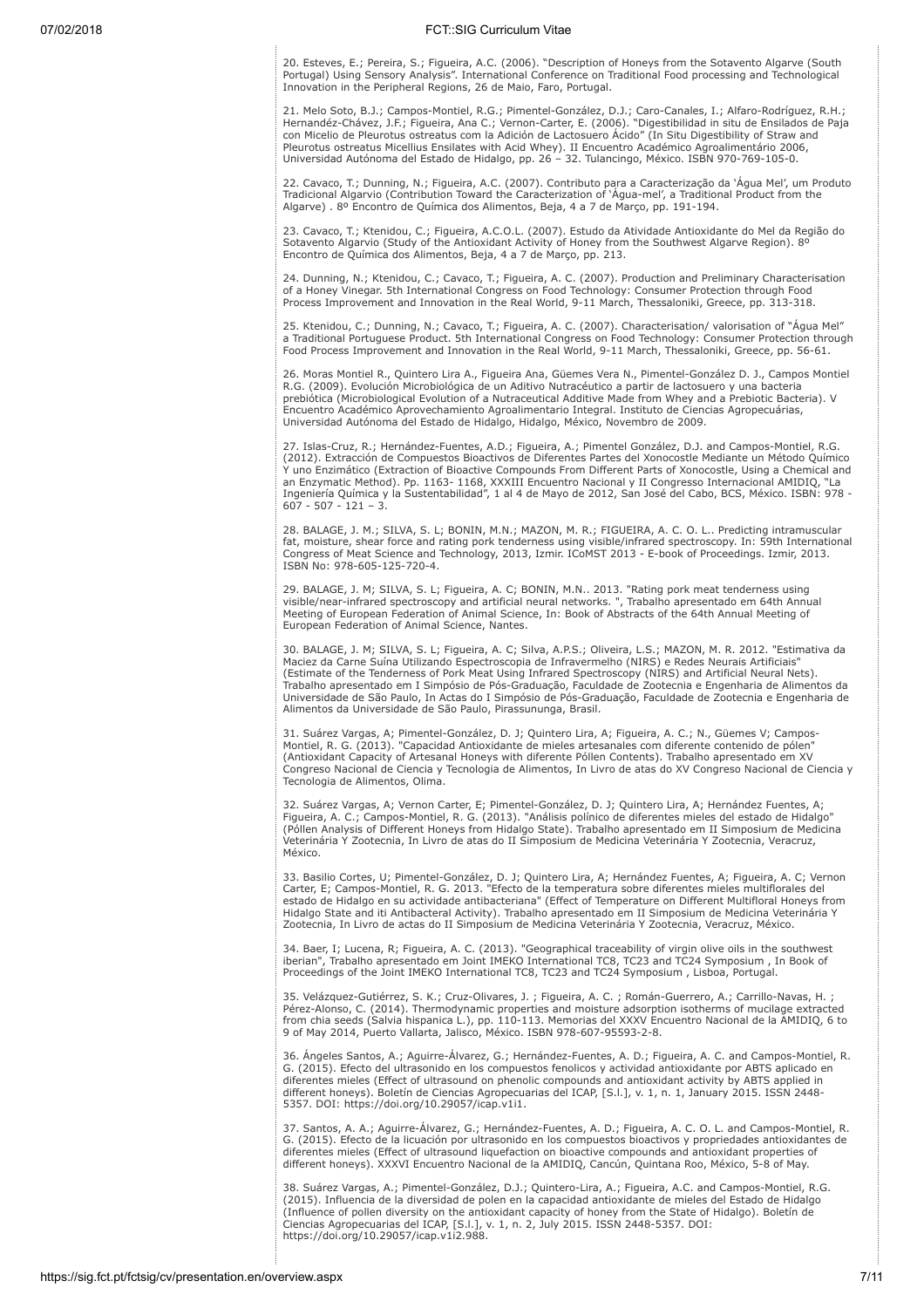20. Esteves, E.; Pereira, S.; Figueira, A.C. (2006). "Description of Honeys from the Sotavento Algarve (South Portugal) Using Sensory Analysis". International Conference on Traditional Food processing and Technological Innovation in the Peripheral Regions, 26 de Maio, Faro, Portugal.

21. Melo Soto, B.J.; Campos-Montiel, R.G.; Pimentel-González, D.J.; Caro-Canales, I.; Alfaro-Rodríguez, R.H.;<br>Hernandéz-Chávez, J.F.; Figueira, Ana C.; Vernon-Carter, E. (2006). "Digestibilidad in situ de Ensilados de Paja Pleurotus ostreatus Micellius Ensilates with Acid Whey). II Encuentro Académico Agroalimentário 2006, Universidad Autónoma del Estado de Hidalgo, pp. 26 – 32. Tulancingo, México. ISBN 970-769-105-0.

22. Cavaco, T.; Dunning, N.; Figueira, A.C. (2007). Contributo para a Caracterização da 'Água Mel', um Produto Tradicional Algarvio (Contribution Toward the Caracterization of 'Água-mel', a Traditional Product from the Algarve) . 8º Encontro de Química dos Alimentos, Beja, 4 a 7 de Março, pp. 191-194.

23. Cavaco, T.; Ktenidou, C.; Figueira, A.C.O.L. (2007). Estudo da Atividade Antioxidante do Mel da Região do Sotavento Algarvio (Study of the Antioxidant Activity of Honey from the Southwest Algarve Region). 8º Encontro de Química dos Alimentos, Beja, 4 a 7 de Março, pp. 213.

24. Dunning, N.; Ktenidou, C.; Cavaco, T.; Figueira, A. C. (2007). Production and Preliminary Characterisation<br>of a Honey Vinegar. 5th International Congress on Food Technology: Consumer Protection through Food<br>Process Imp

25. Ktenidou, C.; Dunning, N.; Cavaco, T.; Figueira, A. C. (2007). Characterisation/ valorisation of "Agua Mel"<br>a Traditional Portuguese Product. 5th International Congress on Food Technology: Consumer Protection through<br>F

26. Moras Montiel R., Quintero Lira A., Figueira Ana, Güemes Vera N., Pimentel-González D. J., Campos Montiel R.G. (2009). Evolución Microbiológica de un Aditivo Nutracéutico a partir de lactosuero y una bacteria prebiótica (Microbiological Evolution of a Nutraceutical Additive Made from Whey and a Prebiotic Bacteria). V Encuentro Académico Aprovechamiento Agroalimentario Integral. Instituto de Ciencias Agropecuárias, Universidad Autónoma del Estado de Hidalgo, Hidalgo, México, Novembro de 2009.

27. Islas-Cruz, R.; Hernández-Fuentes, A.D.; Figueira, A.; Pimentel González, D.J. and Campos-Montiel, R.G. (2012). Extracción de Compuestos Bioactivos de Diferentes Partes del Xonocostle Mediante un Método Químico Y uno Enzimático (Extraction of Bioactive Compounds From Different Parts of Xonocostle, Using a Chemical and an Enzymatic Method). Pp. 1163- 1168, XXXIII Encuentro Nacional y II Congresso Internacional AMIDIQ, "La Ingeniería Química y la Sustentabilidad", 1 al 4 de Mayo de 2012, San José del Cabo, BCS, México. ISBN: 978 -  $607 - 507 - 121 - 3$ 

28. BALAGE, J. M.; SILVA, S. L; BONIN, M.N.; MAZON, M. R.; FIGUEIRA, A. C. O. L.. Predicting intramuscular fat, moisture, shear force and rating pork tenderness using visible/infrared spectroscopy. In: 59th International Congress of Meat Science and Technology, 2013, Izmir. ICoMST 2013 - E-book of Proceedings. Izmir, 2013. ISBN No: 978-605-125-720-4.

29. BALAGE, J. M; SILVA, S. L; Figueira, A. C; BONIN, M.N.. 2013. "Rating pork meat tenderness using<br>visible/near-infrared spectroscopy and artificial neural networks. ", Trabalho apresentado em 64th Annual<br>Meeting of Euro European Federation of Animal Science, Nantes.

30. BALAGE, J. M; SILVA, S. L; Figueira, A. C; Silva, A.P.S.; Oliveira, L.S.; MAZON, M. R. 2012. "Estimativa da Maciez da Carne Suína Utilizando Espectroscopia de Infravermelho (NIRS) e Redes Neurais Artificiais" (Estimate of the Tenderness of Pork Meat Using Infrared Spectroscopy (NIRS) and Artificial Neural Nets). Trabalho apresentado em I Simpósio de Pós-Graduação, Faculdade de Zootecnia e Engenharia de Alimentos da Universidade de São Paulo, In Actas do I Simpósio de Pós-Graduação, Faculdade de Zootecnia e Engenharia de Alimentos da Universidade de São Paulo, Pirassununga, Brasil.

31. Suárez Vargas, A; Pimentel-González, D. J; Quintero Lira, A; Figueira, A. C.; N., Güemes V; Campos-Montiel, R. G. (2013). "Capacidad Antioxidante de mieles artesanales com diferente contenido de pólen" (Antioxidant Capacity of Artesanal Honeys with diferente Póllen Contents). Trabalho apresentado em XV Congreso Nacional de Ciencia y Tecnologia de Alimentos, In Livro de atas do XV Congreso Nacional de Ciencia y Tecnologia de Alimentos, Olima.

32. Suárez Vargas, A; Vernon Carter, E; Pimentel-González, D. J; Quintero Lira, A; Hernández Fuentes, A;<br>Figueira, A. C.; Campos-Montiel, R. G. (2013). "Análisis polínico de diferentes mieles del estado de Hidalgo"<br>(Póllen Veterinária Y Zootecnia, In Livro de atas do II Simposium de Medicina Veterinária Y Zootecnia, Veracruz, México.

33. Basilio Cortes, U; Pimentel-González, D. J; Quintero Lira, A; Hernández Fuentes, A; Figueira, A. C; Vernon Carter, E; Campos-Montiel, R. G. 2013. "Efecto de la temperatura sobre diferentes mieles multiflorales del estado de Hidalgo en su actividade antibacteriana" (Effect of Temperature on Different Multifloral Honeys from Hidalgo State and iti Antibacteral Activity). Trabalho apresentado em II Simposium de Medicina Veterinária Y Zootecnia, In Livro de actas do II Simposium de Medicina Veterinária Y Zootecnia, Veracruz, México.

34. Baer, I; Lucena, R; Figueira, A. C. (2013). "Geographical traceability of virgin olive oils in the southwest<br>iberian", Trabalho apresentado em Joint IMEKO International TC8, TC23 and TC24 Symposium , In Book of<br>Proceed

35. Velázquez-Gutiérrez, S. K.; Cruz-Olivares, J. ; Figueira, A. C. ; Román-Guerrero, A.; Carrillo-Navas, H. ;<br>Pérez-Alonso, C. (2014). Thermodynamic properties and moisture adsorption isotherms of mucilage extracted<br>from

36. Ángeles Santos, A.; Aguirre-Álvarez, G.; Hernández-Fuentes, A. D.; Figueira, A. C. and Campos-Montiel, R. G. (2015). Efecto del ultrasonido en los compuestos fenolicos y actividad antioxidante por ABTS aplicado en diferentes mieles (Effect of ultrasound on phenolic compounds and antioxidant activity by ABTS applied in different honeys). Boletín de Ciencias Agropecuarias del ICAP, [S.l.], v. 1, n. 1, January 2015. ISSN 2448- 5357. DOI: https://doi.org/10.29057/icap.v1i1.

37. Santos, A. A.; Aguirre-Álvarez, G.; Hernández-Fuentes, A. D.; Figueira, A. C. O. L. and Campos-Montiel, R. G. (2015). Efecto de la licuación por ultrasonido en los compuestos bioactivos y propriedades antioxidantes de diferentes mieles (Effect of ultrasound liquefaction on bioactive compounds and antioxidant properties of different honeys). XXXVI Encuentro Nacional de la AMIDIQ, Cancún, Quintana Roo, México, 5-8 of May.

38. Suárez Vargas, A.; Pimentel-González, D.J.; Quintero-Lira, A.; Figueira, A.C. and Campos-Montiel, R.G.<br>(2015). Influencia de la diversidad de polen en la capacidad antioxidante de mieles del Estado de Hidalgo (Influence of pollen diversity on the antioxidant capacity of honey from the State of Hidalgo). Boletín de Ciencias Agropecuarias del ICAP, [S.l.], v. 1, n. 2, July 2015. ISSN 2448-5357. DOI: https://doi.org/10.29057/icap.v1i2.988.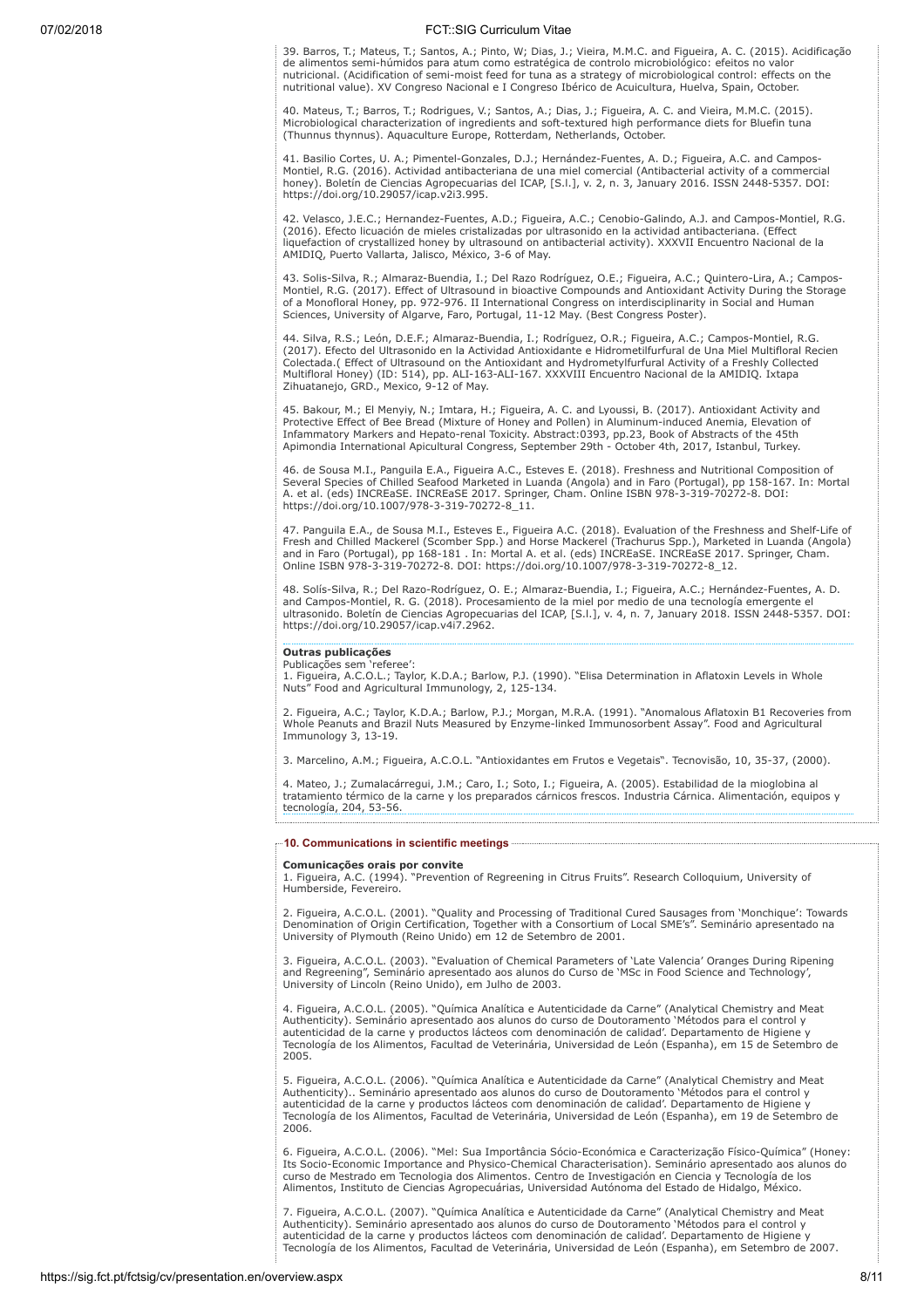39. Barros, T.; Mateus, T.; Santos, A.; Pinto, W; Dias, J.; Vieira, M.M.C. and Figueira, A. C. (2015). Acidificação de alimentos semi-húmidos para atum como estratégica de controlo microbiológico: efeitos no valor<br>nutricional. (Acidification of semi-moist feed for tuna as a strategy of microbiological control: effects on the<br>nutritional

40. Mateus, T.; Barros, T.; Rodrigues, V.; Santos, A.; Dias, J.; Figueira, A. C. and Vieira, M.M.C. (2015).<br>Microbiological characterization of ingredients and soft-textured high performance diets for Bluefin tuna<br>(Thunnus

41. Basilio Cortes, U. A.; Pimentel-Gonzales, D.J.; Hernández-Fuentes, A. D.; Figueira, A.C. and Campos-Montiel, R.G. (2016). Actividad antibacteriana de una miel comercial (Antibacterial activity of a commercial honey). Boletín de Ciencias Agropecuarias del ICAP, [S.l.], v. 2, n. 3, January 2016. ISSN 2448-5357. DOI: https://doi.org/10.29057/icap.v2i3.995.

42. Velasco, J.E.C.; Hernandez-Fuentes, A.D.; Figueira, A.C.; Cenobio-Galindo, A.J. and Campos-Montiel, R.G. (2016). Efecto licuación de mieles cristalizadas por ultrasonido en la actividad antibacteriana. (Effect liquefaction of crystallized honey by ultrasound on antibacterial activity). XXXVII Encuentro Nacional de la AMIDIQ, Puerto Vallarta, Jalisco, México, 3-6 of May.

43. Solis-Silva, R.; Almaraz-Buendia, I.; Del Razo Rodríguez, O.E.; Figueira, A.C.; Quintero-Lira, A.; Campos-Montiel, R.G. (2017). Effect of Ultrasound in bioactive Compounds and Antioxidant Activity During the Storage<br>of a Monofloral Honey, pp. 972-976. II International Congress on interdisciplinarity in Social and Human<br>Science

44. Silva, R.S.; León, D.E.F.; Almaraz-Buendia, I.; Rodríguez, O.R.; Figueira, A.C.; Campos-Montiel, R.G. (2017). Efecto del Ultrasonido en la Actividad Antioxidante e Hidrometilfurfural de Una Miel Multifloral Recien Colectada.( Effect of Ultrasound on the Antioxidant and Hydrometylfurfural Activity of a Freshly Collected Multifloral Honey) (ID: 514), pp. ALI-163-ALI-167. XXXVIII Encuentro Nacional de la AMIDIQ. Ixtapa Zihuatanejo, GRD., Mexico, 9-12 of May.

45. Bakour, M.; El Menyiy, N.; Imtara, H.; Figueira, A. C. and Lyoussi, B. (2017). Antioxidant Activity and Protective Effect of Bee Bread (Mixture of Honey and Pollen) in Aluminum-induced Anemia, Elevation of Infammatory Markers and Hepato-renal Toxicity. Abstract:0393, pp.23, Book of Abstracts of the 45th Apimondia International Apicultural Congress, September 29th - October 4th, 2017, Istanbul, Turkey.

46. de Sousa M.I., Panguila E.A., Figueira A.C., Esteves E. (2018). Freshness and Nutritional Composition of Several Species of Chilled Seafood Marketed in Luanda (Angola) and in Faro (Portugal), pp 158-167. In: Mortal A. et al. (eds) INCREaSE. INCREaSE 2017. Springer, Cham. Online ISBN 978-3-319-70272-8. DOI: https://doi.org/10.1007/978-3-319-70272-8\_11.

47. Panguila E.A., de Sousa M.I., Esteves E., Figueira A.C. (2018). Evaluation of the Freshness and Shelf-Life of Fresh and Chilled Mackerel (Scomber Spp.) and Horse Mackerel (Trachurus Spp.), Marketed in Luanda (Angola) and in Faro (Portugal), pp 168-181 . In: Mortal A. et al. (eds) INCREaSE. INCREaSE 2017. Springer, Cham. Online ISBN 978-3-319-70272-8. DOI: https://doi.org/10.1007/978-3-319-70272-8\_12.

48. Solís-Silva, R.; Del Razo-Rodríguez, O. E.; Almaraz-Buendia, I.; Figueira, A.C.; Hernández-Fuentes, A. D.<br>and Campos-Montiel, R. G. (2018). Procesamiento de la miel por medio de una tecnología emergente el<br>ultrasonido. https://doi.org/10.29057/icap.v4i7.2962.

# Outras publicações

# Publicações sem 'referee':

1. Figueira, A.C.O.L.; Taylor, K.D.A.; Barlow, P.J. (1990). "Elisa Determination in Aflatoxin Levels in Whole Nuts" Food and Agricultural Immunology, 2, 125-134.

2. Figueira, A.C.; Taylor, K.D.A.; Barlow, P.J.; Morgan, M.R.A. (1991). "Anomalous Aflatoxin B1 Recoveries from Whole Peanuts and Brazil Nuts Measured by Enzyme-linked Immunosorbent Assay". Food and Agricultural Immunology 3, 13-19.

3. Marcelino, A.M.; Figueira, A.C.O.L. "Antioxidantes em Frutos e Vegetais". Tecnovisão, 10, 35-37, (2000).

4. Mateo, J.; Zumalacárregui, J.M.; Caro, I.; Soto, I.; Figueira, A. (2005). Estabilidad de la mioglobina al tratamiento térmico de la carne y los preparados cárnicos frescos. Industria Cárnica. Alimentación, equipos y tecnología, 204, 53-56. 

# 10. Communications in scientific meetings

**Comunicações orais por convite**<br>1. Figueira, A.C. (1994). "Prevention of Regreening in Citrus Fruits". Research Colloquium, University of Humberside, Fevereiro.

2. Figueira, A.C.O.L. (2001). "Quality and Processing of Traditional Cured Sausages from 'Monchique': Towards<br>Denomination of Origin Certification, Together with a Consortium of Local SME's". Seminário apresentado na<br>Unive

3. Figueira, A.C.O.L. (2003). "Evaluation of Chemical Parameters of 'Late Valencia' Oranges During Ripening and Regreening", Seminário apresentado aos alunos do Curso de 'MSc in Food Science and Technology', University of Lincoln (Reino Unido), em Julho de 2003.

4. Figueira, A.C.O.L. (2005). "Química Analítica e Autenticidade da Carne" (Analytical Chemistry and Meat Authenticity). Seminário apresentado aos alunos do curso de Doutoramento 'Métodos para el control y autenticidad de la carne y productos lácteos com denominación de calidad'. Departamento de Higiene y Tecnología de los Alimentos, Facultad de Veterinária, Universidad de León (Espanha), em 15 de Setembro de 2005.

5. Figueira, A.C.O.L. (2006). "Química Analítica e Autenticidade da Carne" (Analytical Chemistry and Meat Authenticity).. Seminário apresentado aos alunos do curso de Doutoramento 'Métodos para el control y autenticidad de la carne y productos lácteos com denominación de calidad'. Departamento de Higiene y Tecnología de los Alimentos, Facultad de Veterinária, Universidad de León (Espanha), em 19 de Setembro de 2006.

6. Figueira, A.C.O.L. (2006). "Mel: Sua Importância Sócio-Económica e Caracterização Físico-Química" (Honey: Its Socio-Economic Importance and Physico-Chemical Characterisation). Seminário apresentado aos alunos do curso de Mestrado em Tecnologia dos Alimentos. Centro de Investigación en Ciencia y Tecnología de los Alimentos, Instituto de Ciencias Agropecuárias, Universidad Autónoma del Estado de Hidalgo, México.

7. Figueira, A.C.O.L. (2007). "Química Analítica e Autenticidade da Carne" (Analytical Chemistry and Meat Authenticity). Seminário apresentado aos alunos do curso de Doutoramento 'Métodos para el control y autenticidad de la carne y productos lácteos com denominación de calidad'. Departamento de Higiene y Tecnología de los Alimentos, Facultad de Veterinária, Universidad de León (Espanha), em Setembro de 2007.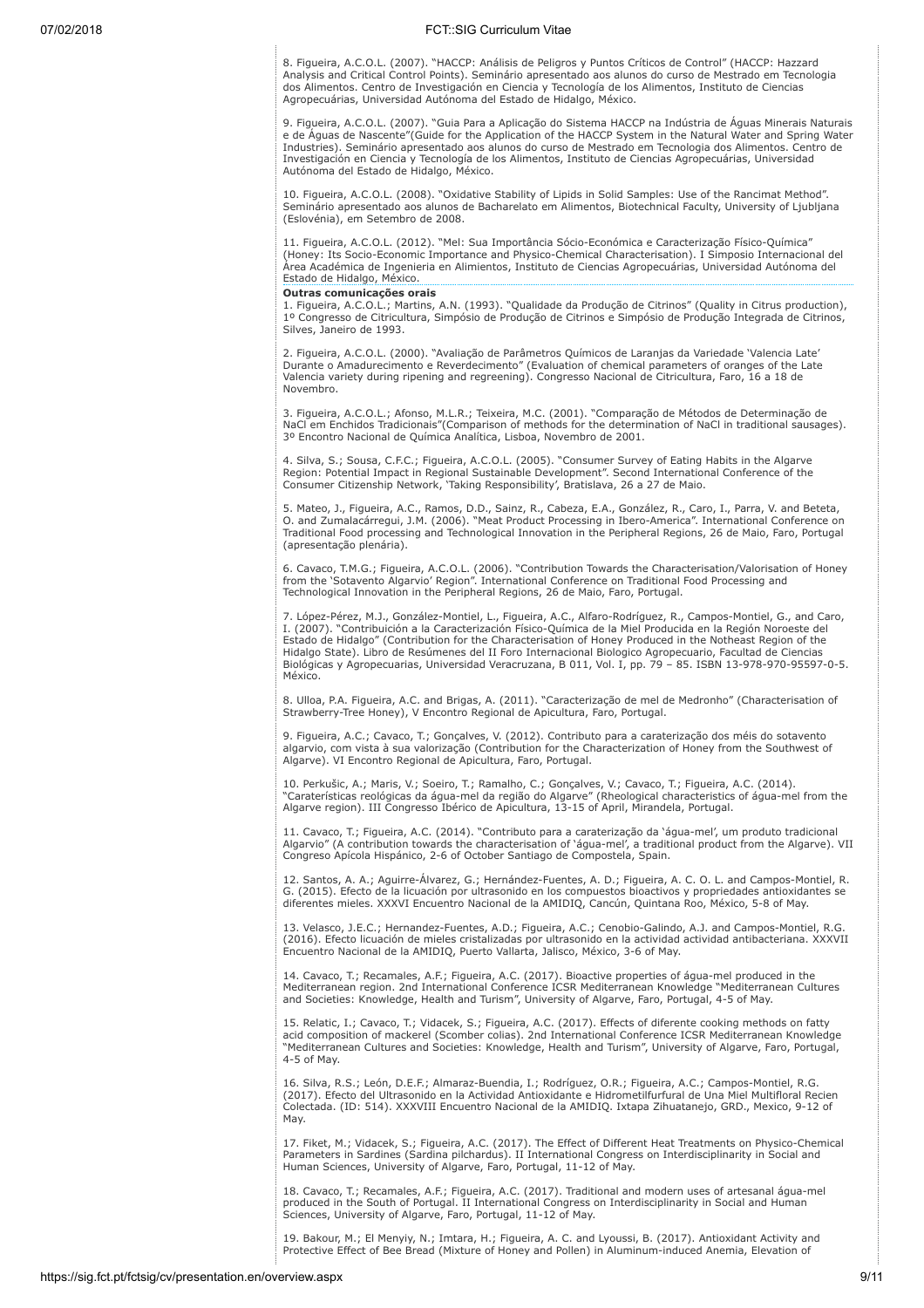8. Figueira, A.C.O.L. (2007). "HACCP: Análisis de Peligros y Puntos Críticos de Control" (HACCP: Hazzard Analysis and Critical Control Points). Seminário apresentado aos alunos do curso de Mestrado em Tecnologia dos Alimentos. Centro de Investigación en Ciencia y Tecnología de los Alimentos, Instituto de Ciencias Agropecuárias, Universidad Autónoma del Estado de Hidalgo, México.

9. Figueira, A.C.O.L. (2007). "Guia Para a Aplicação do Sistema HACCP na Indústria de Águas Minerais Naturais e de Águas de Nascente"(Guide for the Application of the HACCP System in the Natural Water and Spring Water Industries). Seminário apresentado aos alunos do curso de Mestrado em Tecnologia dos Alimentos. Centro de Investigación en Ciencia y Tecnología de los Alimentos, Instituto de Ciencias Agropecuárias, Universidad Autónoma del Estado de Hidalgo, México.

10. Figueira, A.C.O.L. (2008). "Oxidative Stability of Lipids in Solid Samples: Use of the Rancimat Method". Seminário apresentado aos alunos de Bacharelato em Alimentos, Biotechnical Faculty, University of Ljubljana (Eslovénia), em Setembro de 2008.

11. Figueira, A.C.O.L. (2012). "Mel: Sua Importância Sócio-Económica e Caracterização Físico-Química" (Honey: Its Socio-Economic Importance and Physico-Chemical Characterisation). I Simposio Internacional del Área Académica de Ingenieria en Alimientos, Instituto de Ciencias Agropecuárias, Universidad Autónoma del Estado de Hidalgo, México.

#### Outras comunicações orais

1. Figueira, A.C.O.L.; Martins, A.N. (1993). "Qualidade da Produção de Citrinos" (Quality in Citrus production), 1º Congresso de Citricultura, Simpósio de Produção de Citrinos e Simpósio de Produção Integrada de Citrinos, Silves, Janeiro de 1993.

2. Figueira, A.C.O.L. (2000). "Avaliação de Parâmetros Químicos de Laranjas da Variedade 'Valencia Late' Durante o Amadurecimento e Reverdecimento" (Evaluation of chemical parameters of oranges of the Late Valencia variety during ripening and regreening). Congresso Nacional de Citricultura, Faro, 16 a 18 de Novembro.

3. Figueira, A.C.O.L.; Afonso, M.L.R.; Teixeira, M.C. (2001). "Comparação de Métodos de Determinação de<br>NaCl em Enchidos Tradicionais"(Comparison of methods for the determination of NaCl in traditional sausages).<br>3º Encont

4. Silva, S.; Sousa, C.F.C.; Figueira, A.C.O.L. (2005). "Consumer Survey of Eating Habits in the Algarve<br>Region: Potential Impact in Regional Sustainable Development". Second International Conference of the<br>Consumer Citize

5. Mateo, J., Figueira, A.C., Ramos, D.D., Sainz, R., Cabeza, E.A., González, R., Caro, I., Parra, V. and Beteta, O. and Zumalacárregui, J.M. (2006). "Meat Product Processing in Ibero-America". International Conference on Traditional Food processing and Technological Innovation in the Peripheral Regions, 26 de Maio, Faro, Portugal (apresentação plenária).

6. Cavaco, T.M.G.; Figueira, A.C.O.L. (2006). "Contribution Towards the Characterisation/Valorisation of Honey from the 'Sotavento Algarvio' Region". International Conference on Traditional Food Processing and Technological Innovation in the Peripheral Regions, 26 de Maio, Faro, Portugal.

7. López-Pérez, M.J., González-Montiel, L., Figueira, A.C., Alfaro-Rodríguez, R., Campos-Montiel, G., and Caro, I. (2007). "Contribuición a la Caracterización Físico-Química de la Miel Producida en la Región Noroeste del Estado de Hidalgo" (Contribution for the Characterisation of Honey Produced in the Notheast Region of the Hidalgo State). Libro de Resúmenes del II Foro Internacional Biologico Agropecuario, Facultad de Ciencias Biológicas y Agropecuarias, Universidad Veracruzana, B 011, Vol. I, pp. 79 – 85. ISBN 13-978-970-95597-0-5. México.

8. Ulloa, P.A. Figueira, A.C. and Brigas, A. (2011). "Caracterização de mel de Medronho" (Characterisation of Strawberry-Tree Honey), V Encontro Regional de Apicultura, Faro, Portugal.

9. Figueira, A.C.; Cavaco, T.; Gonçalves, V. (2012). Contributo para a caraterização dos méis do sotavento algarvio, com vista à sua valorização (Contribution for the Characterization of Honey from the Southwest of Algarve). VI Encontro Regional de Apicultura, Faro, Portugal.

10. Perkušic, A.; Maris, V.; Soeiro, T.; Ramalho, C.; Gonçalves, V.; Cavaco, T.; Figueira, A.C. (2014). "Caraterísticas reológicas da água-mel da região do Algarve" (Rheological characteristics of água-mel from the Algarve region). III Congresso Ibérico de Apicultura, 13-15 of April, Mirandela, Portugal.

11. Cavaco, T.; Figueira, A.C. (2014). "Contributo para a caraterização da 'água-mel', um produto tradicional Algarvio" (A contribution towards the characterisation of 'água-mel', a traditional product from the Algarve). VII Congreso Apícola Hispánico, 2-6 of October Santiago de Compostela, Spain.

12. Santos, A. A.; Aguirre-Álvarez, G.; Hernández-Fuentes, A. D.; Figueira, A. C. O. L. and Campos-Montiel, R. G. (2015). Efecto de la licuación por ultrasonido en los compuestos bioactivos y propriedades antioxidantes se diferentes mieles. XXXVI Encuentro Nacional de la AMIDIQ, Cancún, Quintana Roo, México, 5-8 of May.

13. Velasco, J.E.C.; Hernandez-Fuentes, A.D.; Figueira, A.C.; Cenobio-Galindo, A.J. and Campos-Montiel, R.G. (2016). Efecto licuación de mieles cristalizadas por ultrasonido en la actividad actividad antibacteriana. XXXVII Encuentro Nacional de la AMIDIQ, Puerto Vallarta, Jalisco, México, 3-6 of May.

14. Cavaco, T.; Recamales, A.F.; Figueira, A.C. (2017). Bioactive properties of água-mel produced in the Mediterranean region. 2nd International Conference ICSR Mediterranean Knowledge "Mediterranean Cultures and Societies: Knowledge, Health and Turism", University of Algarve, Faro, Portugal, 4-5 of May.

15. Relatic, I.; Cavaco, T.; Vidacek, S.; Figueira, A.C. (2017). Effects of diferente cooking methods on fatty acid composition of mackerel (Scomber colias). 2nd International Conference ICSR Mediterranean Knowledge "Mediterranean Cultures and Societies: Knowledge, Health and Turism", University of Algarve, Faro, Portugal, 4-5 of May.

16. Silva, R.S.; León, D.E.F.; Almaraz-Buendia, I.; Rodríguez, O.R.; Figueira, A.C.; Campos-Montiel, R.G. (2017). Efecto del Ultrasonido en la Actividad Antioxidante e Hidrometilfurfural de Una Miel Multifloral Recien Colectada. (ID: 514). XXXVIII Encuentro Nacional de la AMIDIQ. Ixtapa Zihuatanejo, GRD., Mexico, 9-12 of May.

17. Fiket, M.; Vidacek, S.; Figueira, A.C. (2017). The Effect of Different Heat Treatments on Physico-Chemical Parameters in Sardines (Sardina pilchardus). II International Congress on Interdisciplinarity in Social and Human Sciences, University of Algarve, Faro, Portugal, 11-12 of May.

18. Cavaco, T.; Recamales, A.F.; Figueira, A.C. (2017). Traditional and modern uses of artesanal água-mel produced in the South of Portugal. II International Congress on Interdisciplinarity in Social and Human Sciences, University of Algarve, Faro, Portugal, 11-12 of May.

19. Bakour, M.; El Menyiy, N.; Imtara, H.; Figueira, A. C. and Lyoussi, B. (2017). Antioxidant Activity and Protective Effect of Bee Bread (Mixture of Honey and Pollen) in Aluminum-induced Anemia, Elevation of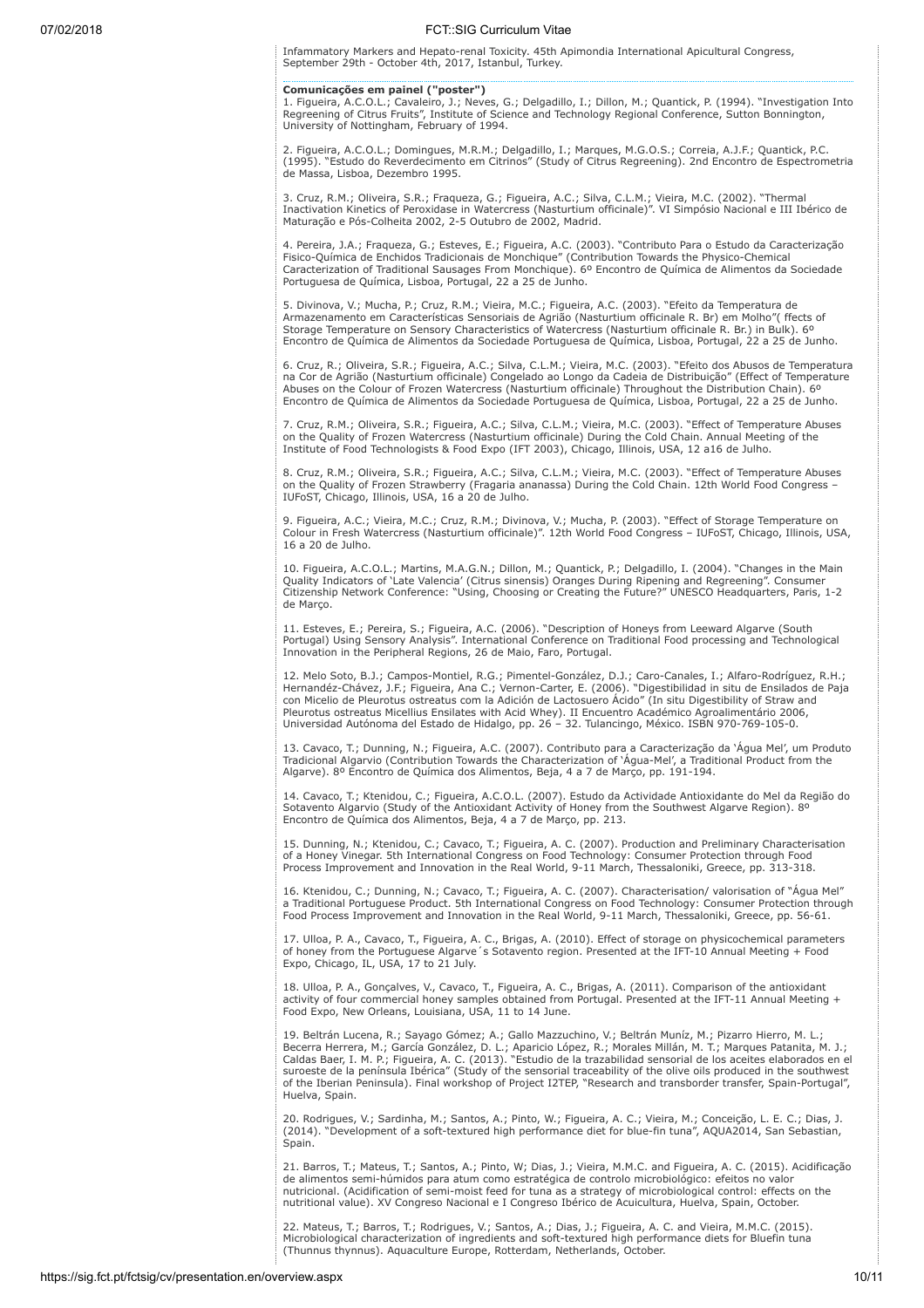Infammatory Markers and Hepato-renal Toxicity. 45th Apimondia International Apicultural Congress, September 29th - October 4th, 2017, Istanbul, Turkey.

# Comunicações em painel ("poster")

1. Figueira, A.C.O.L.; Cavaleiro, J.; Neves, G.; Delgadillo, I.; Dillon, M.; Quantick, P. (1994). "Investigation Into Regreening of Citrus Fruits", Institute of Science and Technology Regional Conference, Sutton Bonnington, University of Nottingham, February of 1994.

2. Figueira, A.C.O.L.; Domingues, M.R.M.; Delgadillo, I.; Marques, M.G.O.S.; Correia, A.J.F.; Quantick, P.C. (1995). "Estudo do Reverdecimento em Citrinos" (Study of Citrus Regreening). 2nd Encontro de Espectrometria de Massa, Lisboa, Dezembro 1995.

3. Cruz, R.M.; Oliveira, S.R.; Fraqueza, G.; Figueira, A.C.; Silva, C.L.M.; Vieira, M.C. (2002). "Thermal Inactivation Kinetics of Peroxidase in Watercress (Nasturtium officinale)". VI Simpósio Nacional e III Ibérico de Maturação e Pós-Colheita 2002, 2-5 Outubro de 2002, Madrid.

4. Pereira, J.A.; Fraqueza, G.; Esteves, E.; Figueira, A.C. (2003). "Contributo Para o Estudo da Caracterização Fisico-Química de Enchidos Tradicionais de Monchique" (Contribution Towards the Physico-Chemical Caracterization of Traditional Sausages From Monchique). 6º Encontro de Química de Alimentos da Sociedade Portuguesa de Química, Lisboa, Portugal, 22 a 25 de Junho.

5. Divinova, V.; Mucha, P.; Cruz, R.M.; Vieira, M.C.; Figueira, A.C. (2003). "Efeito da Temperatura de Armazenamento em Características Sensoriais de Agrião (Nasturtium officinale R. Br) em Molho"( ffects of Storage Temperature on Sensory Characteristics of Watercress (Nasturtium officinale R. Br.) in Bulk). 6º Encontro de Química de Alimentos da Sociedade Portuguesa de Química, Lisboa, Portugal, 22 a 25 de Junho.

6. Cruz, R.; Oliveira, S.R.; Figueira, A.C.; Silva, C.L.M.; Vieira, M.C. (2003). "Efeito dos Abusos de Temperatura<br>na Cor de Agrião (Nasturtium officinale) Congelado ao Longo da Cadeia de Distribuição" (Effect of Temperatu Encontro de Química de Alimentos da Sociedade Portuguesa de Química, Lisboa, Portugal, 22 a 25 de Junho.

7. Cruz, R.M.; Oliveira, S.R.; Figueira, A.C.; Silva, C.L.M.; Vieira, M.C. (2003). "Effect of Temperature Abuses on the Quality of Frozen Watercress (Nasturtium officinale) During the Cold Chain. Annual Meeting of the Institute of Food Technologists & Food Expo (IFT 2003), Chicago, Illinois, USA, 12 a16 de Julho.

8. Cruz, R.M.; Oliveira, S.R.; Figueira, A.C.; Silva, C.L.M.; Vieira, M.C. (2003). "Effect of Temperature Abuses<br>on the Quality of Frozen Strawberry (Fragaria ananassa) During the Cold Chain. 12th World Food Congress –<br>IUF

9. Figueira, A.C.; Vieira, M.C.; Cruz, R.M.; Divinova, V.; Mucha, P. (2003). "Effect of Storage Temperature on Colour in Fresh Watercress (Nasturtium officinale)". 12th World Food Congress – IUFoST, Chicago, Illinois, USA, 16 a 20 de Julho.

10. Figueira, A.C.O.L.; Martins, M.A.G.N.; Dillon, M.; Quantick, P.; Delgadillo, I. (2004). "Changes in the Main Quality Indicators of 'Late Valencia' (Citrus sinensis) Oranges During Ripening and Regreening". Consumer Citizenship Network Conference: "Using, Choosing or Creating the Future?" UNESCO Headquarters, Paris, 1-2 de Março.

11. Esteves, E.; Pereira, S.; Figueira, A.C. (2006). "Description of Honeys from Leeward Algarve (South Portugal) Using Sensory Analysis". International Conference on Traditional Food processing and Technological Innovation in the Peripheral Regions, 26 de Maio, Faro, Portugal.

12. Melo Soto, B.J.; Campos-Montiel, R.G.; Pimentel-González, D.J.; Caro-Canales, I.; Alfaro-Rodríguez, R.H.;<br>Hernandéz-Chávez, J.F.; Figueira, Ana C.; Vernon-Carter, E. (2006). "Digestibilidad in situ de Ensilados de Paja Pleurotus ostreatus Micellius Ensilates with Acid Whey). II Encuentro Académico Agroalimentário 2006, Universidad Autónoma del Estado de Hidalgo, pp. 26 – 32. Tulancingo, México. ISBN 970-769-105-0.

13. Cavaco, T.; Dunning, N.; Figueira, A.C. (2007). Contributo para a Caracterização da 'Àgua Mel', um Produto<br>Tradicional Algarvio (Contribution Towards the Characterization of 'Água-Mel', a Traditional Product from the<br>A

14. Cavaco, T.; Ktenidou, C.; Figueira, A.C.O.L. (2007). Estudo da Actividade Antioxidante do Mel da Região do<br>Sotavento Algarvio (Study of the Antioxidant Activity of Honey from the Southwest Algarve Region). 8º Encontro de Química dos Alimentos, Beja, 4 a 7 de Março, pp. 213.

15. Dunning, N.; Ktenidou, C.; Cavaco, T.; Figueira, A. C. (2007). Production and Preliminary Characterisation<br>of a Honey Vinegar. 5th International Congress on Food Technology: Consumer Protection through Food<br>Process Imp

16. Ktenidou, C.; Dunning, N.; Cavaco, T.; Figueira, A. C. (2007). Characterisation/ valorisation of "Agua Mel"<br>a Traditional Portuguese Product. 5th International Congress on Food Technology: Consumer Protection through<br>F

17. Ulloa, P. A., Cavaco, T., Figueira, A. C., Brigas, A. (2010). Effect of storage on physicochemical parameters of honey from the Portuguese Algarve´s Sotavento region. Presented at the IFT-10 Annual Meeting + Food Expo, Chicago, IL, USA, 17 to 21 July.

18. Ulloa, P. A., Gonçalves, V., Cavaco, T., Figueira, A. C., Brigas, A. (2011). Comparison of the antioxidant activity of four commercial honey samples obtained from Portugal. Presented at the IFT-11 Annual Meeting + Food Expo, New Orleans, Louisiana, USA, 11 to 14 June.

19. Beltrán Lucena, R.; Sayago Gómez; A.; Gallo Mazzuchino, V.; Beltrán Muníz, M.; Pizarro Hierro, M. L.;<br>Becerra Herrera, M.; García González, D. L.; Aparicio López, R.; Morales Millán, M. T.; Marques Patanita, M. J<br>Calda Huelva, Spain.

20. Rodrigues, V.; Sardinha, M.; Santos, A.; Pinto, W.; Figueira, A. C.; Vieira, M.; Conceição, L. E. C.; Dias, J.<br>(2014). "Development of a soft-textured high performance diet for blue-fin tuna", AQUA2014, San Sebastian, Spain.

21. Barros, T.; Mateus, T.; Santos, A.; Pinto, W; Dias, J.; Vieira, M.M.C. and Figueira, A. C. (2015). Acidificação<br>de alimentos semi-húmidos para atum como estratégica de controlo microbiológico: efeitos no valor nutricional. (Acidification of semi-moist feed for tuna as a strategy of microbiological control: effects on the nutritional value). XV Congreso Nacional e I Congreso Ibérico de Acuicultura, Huelva, Spain, October.

22. Mateus, T.; Barros, T.; Rodrigues, V.; Santos, A.; Dias, J.; Figueira, A. C. and Vieira, M.M.C. (2015). Microbiological characterization of ingredients and soft-textured high performance diets for Bluefin tuna (Thunnus thynnus). Aquaculture Europe, Rotterdam, Netherlands, October.